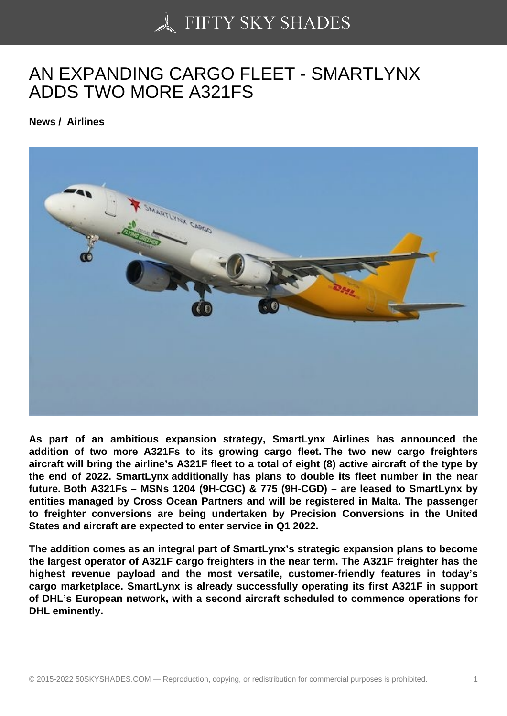## [AN EXPANDING CARG](https://50skyshades.com)O FLEET - SMARTLYNX ADDS TWO MORE A321FS

News / Airlines

As part of an ambitious expansion strategy, SmartLynx Airlines has announced the addition of two more A321Fs to its growing cargo fleet. The two new cargo freighters aircraft will bring the airline's A321F fleet to a total of eight (8) active aircraft of the type by the end of 2022. SmartLynx additionally has plans to double its fleet number in the near future. Both A321Fs – MSNs 1204 (9H-CGC) & 775 (9H-CGD) – are leased to SmartLynx by entities managed by Cross Ocean Partners and will be registered in Malta. The passenger to freighter conversions are being undertaken by Precision Conversions in the United States and aircraft are expected to enter service in Q1 2022.

The addition comes as an integral part of SmartLynx's strategic expansion plans to become the largest operator of A321F cargo freighters in the near term. The A321F freighter has the highest revenue payload and the most versatile, customer-friendly features in today's cargo marketplace. SmartLynx is already successfully operating its first A321F in support of DHL's European network, with a second aircraft scheduled to commence operations for DHL eminently.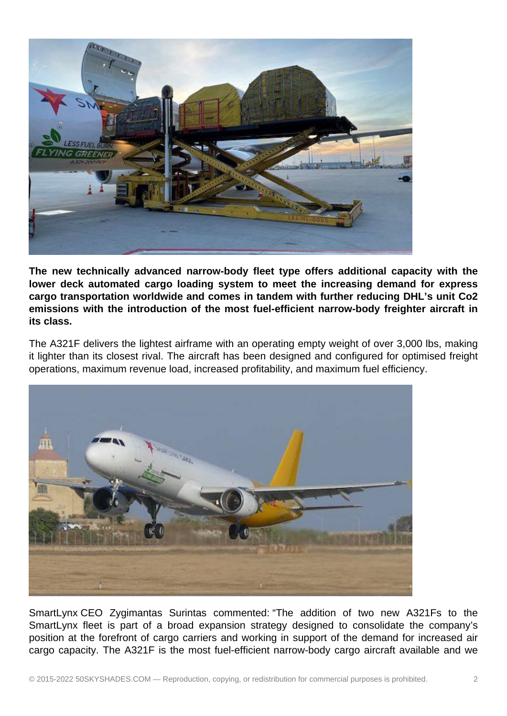

**The new technically advanced narrow-body fleet type offers additional capacity with the lower deck automated cargo loading system to meet the increasing demand for express cargo transportation worldwide and comes in tandem with further reducing DHL's unit Co2 emissions with the introduction of the most fuel-efficient narrow-body freighter aircraft in its class.** 

The A321F delivers the lightest airframe with an operating empty weight of over 3,000 lbs, making it lighter than its closest rival. The aircraft has been designed and configured for optimised freight operations, maximum revenue load, increased profitability, and maximum fuel efficiency.



SmartLynx CEO Zygimantas Surintas commented: "The addition of two new A321Fs to the SmartLynx fleet is part of a broad expansion strategy designed to consolidate the company's position at the forefront of cargo carriers and working in support of the demand for increased air cargo capacity. The A321F is the most fuel-efficient narrow-body cargo aircraft available and we